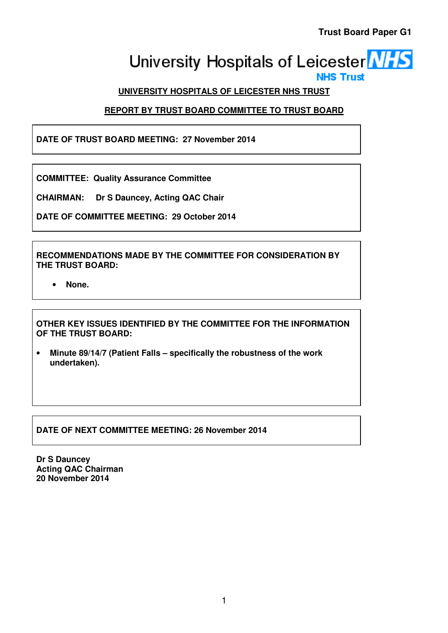# University Hospitals of Leicester **NHS NHS Trust**

# **UNIVERSITY HOSPITALS OF LEICESTER NHS TRUST**

# **REPORT BY TRUST BOARD COMMITTEE TO TRUST BOARD**

**DATE OF TRUST BOARD MEETING: 27 November 2014** 

**COMMITTEE: Quality Assurance Committee** 

**CHAIRMAN: Dr S Dauncey, Acting QAC Chair** 

**DATE OF COMMITTEE MEETING: 29 October 2014** 

**RECOMMENDATIONS MADE BY THE COMMITTEE FOR CONSIDERATION BY THE TRUST BOARD:** 

• **None.** 

**OTHER KEY ISSUES IDENTIFIED BY THE COMMITTEE FOR THE INFORMATION OF THE TRUST BOARD:** 

• **Minute 89/14/7 (Patient Falls – specifically the robustness of the work undertaken).** 

**DATE OF NEXT COMMITTEE MEETING: 26 November 2014** 

**Dr S Dauncey Acting QAC Chairman 20 November 2014**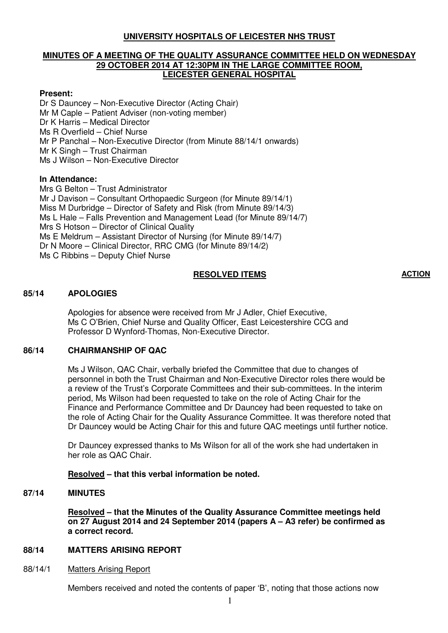## **UNIVERSITY HOSPITALS OF LEICESTER NHS TRUST**

#### **MINUTES OF A MEETING OF THE QUALITY ASSURANCE COMMITTEE HELD ON WEDNESDAY 29 OCTOBER 2014 AT 12:30PM IN THE LARGE COMMITTEE ROOM, LEICESTER GENERAL HOSPITAL**

#### **Present:**

Dr S Dauncey – Non-Executive Director (Acting Chair) Mr M Caple – Patient Adviser (non-voting member) Dr K Harris – Medical Director Ms R Overfield – Chief Nurse Mr P Panchal – Non-Executive Director (from Minute 88/14/1 onwards) Mr K Singh – Trust Chairman Ms J Wilson – Non-Executive Director

#### **In Attendance:**

Mrs G Belton – Trust Administrator Mr J Davison – Consultant Orthopaedic Surgeon (for Minute 89/14/1) Miss M Durbridge – Director of Safety and Risk (from Minute 89/14/3) Ms L Hale – Falls Prevention and Management Lead (for Minute 89/14/7) Mrs S Hotson – Director of Clinical Quality Ms E Meldrum – Assistant Director of Nursing (for Minute 89/14/7) Dr N Moore – Clinical Director, RRC CMG (for Minute 89/14/2) Ms C Ribbins – Deputy Chief Nurse

#### **RESOLVED ITEMS ACTION**

#### **85/14 APOLOGIES**

Apologies for absence were received from Mr J Adler, Chief Executive, Ms C O'Brien, Chief Nurse and Quality Officer, East Leicestershire CCG and Professor D Wynford-Thomas, Non-Executive Director.

#### **86/14 CHAIRMANSHIP OF QAC**

Ms J Wilson, QAC Chair, verbally briefed the Committee that due to changes of personnel in both the Trust Chairman and Non-Executive Director roles there would be a review of the Trust's Corporate Committees and their sub-committees. In the interim period, Ms Wilson had been requested to take on the role of Acting Chair for the Finance and Performance Committee and Dr Dauncey had been requested to take on the role of Acting Chair for the Quality Assurance Committee. It was therefore noted that Dr Dauncey would be Acting Chair for this and future QAC meetings until further notice.

Dr Dauncey expressed thanks to Ms Wilson for all of the work she had undertaken in her role as QAC Chair.

#### **Resolved – that this verbal information be noted.**

#### **87/14 MINUTES**

**Resolved – that the Minutes of the Quality Assurance Committee meetings held on 27 August 2014 and 24 September 2014 (papers A – A3 refer) be confirmed as a correct record.** 

## **88/14 MATTERS ARISING REPORT**

#### 88/14/1 Matters Arising Report

Members received and noted the contents of paper 'B', noting that those actions now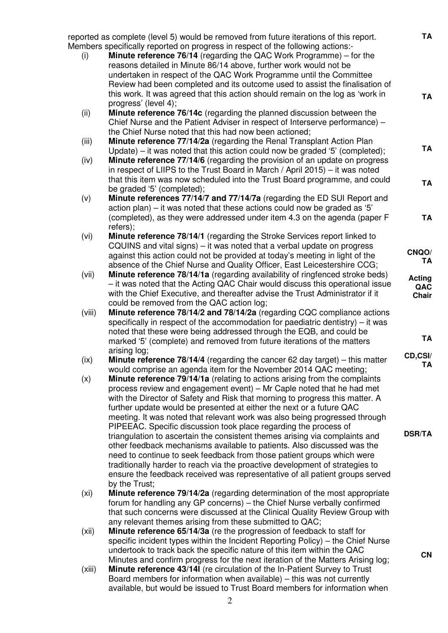reported as complete (level 5) would be removed from future iterations of this report. Members specifically reported on progress in respect of the following actions:- (i) **Minute reference 76/14** (regarding the QAC Work Programme) – for the reasons detailed in Minute 86/14 above, further work would not be undertaken in respect of the QAC Work Programme until the Committee Review had been completed and its outcome used to assist the finalisation of this work. It was agreed that this action should remain on the log as 'work in progress' (level 4); (ii) **Minute reference 76/14c** (regarding the planned discussion between the Chief Nurse and the Patient Adviser in respect of Interserve performance) – the Chief Nurse noted that this had now been actioned; (iii) **Minute reference 77/14/2a** (regarding the Renal Transplant Action Plan Update) – it was noted that this action could now be graded '5' (completed); (iv) **Minute reference 77/14/6** (regarding the provision of an update on progress in respect of LIIPS to the Trust Board in March / April 2015) – it was noted that this item was now scheduled into the Trust Board programme, and could be graded '5' (completed); (v) **Minute references 77/14/7 and 77/14/7a** (regarding the ED SUI Report and action plan) – it was noted that these actions could now be graded as '5' (completed), as they were addressed under item 4.3 on the agenda (paper F refers); (vi) **Minute reference 78/14/1** (regarding the Stroke Services report linked to CQUINS and vital signs) – it was noted that a verbal update on progress against this action could not be provided at today's meeting in light of the absence of the Chief Nurse and Quality Officer, East Leicestershire CCG; (vii) **Minute reference 78/14/1a** (regarding availability of ringfenced stroke beds) – it was noted that the Acting QAC Chair would discuss this operational issue with the Chief Executive, and thereafter advise the Trust Administrator if it could be removed from the QAC action log; (viii) **Minute reference 78/14/2 and 78/14/2a** (regarding CQC compliance actions specifically in respect of the accommodation for paediatric dentistry) – it was noted that these were being addressed through the EQB, and could be marked '5' (complete) and removed from future iterations of the matters arising log; (ix) **Minute reference 78/14/4** (regarding the cancer 62 day target) – this matter would comprise an agenda item for the November 2014 QAC meeting; (x) **Minute reference 79/14/1a** (relating to actions arising from the complaints process review and engagement event) – Mr Caple noted that he had met with the Director of Safety and Risk that morning to progress this matter. A further update would be presented at either the next or a future QAC meeting. It was noted that relevant work was also being progressed through PIPEEAC. Specific discussion took place regarding the process of triangulation to ascertain the consistent themes arising via complaints and other feedback mechanisms available to patients. Also discussed was the need to continue to seek feedback from those patient groups which were traditionally harder to reach via the proactive development of strategies to ensure the feedback received was representative of all patient groups served by the Trust; (xi) **Minute reference 79/14/2a** (regarding determination of the most appropriate forum for handling any GP concerns) – the Chief Nurse verbally confirmed that such concerns were discussed at the Clinical Quality Review Group with any relevant themes arising from these submitted to QAC; (xii) **Minute reference 65/14/3a** (re the progression of feedback to staff for specific incident types within the Incident Reporting Policy) – the Chief Nurse undertook to track back the specific nature of this item within the QAC Minutes and confirm progress for the next iteration of the Matters Arising log; **TA TA TA TA TA CNQO/ TA Acting QAC Chair TA CD,CSI/ TA DSR/TA CN**

(xiii) **Minute reference 43/14l** (re circulation of the In-Patient Survey to Trust Board members for information when available) – this was not currently available, but would be issued to Trust Board members for information when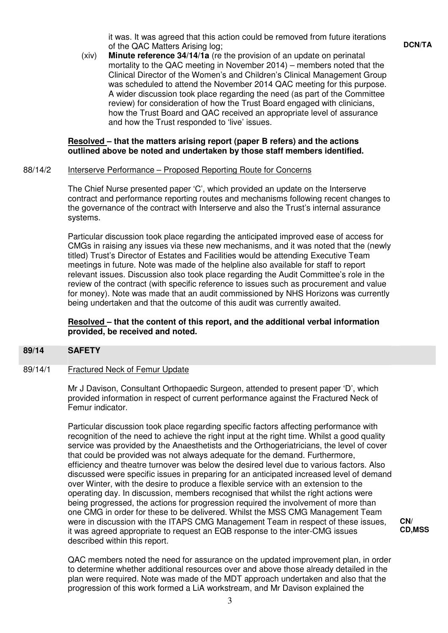it was. It was agreed that this action could be removed from future iterations of the QAC Matters Arising log;

**DCN/TA**

(xiv) **Minute reference 34/14/1a** (re the provision of an update on perinatal mortality to the QAC meeting in November 2014) – members noted that the Clinical Director of the Women's and Children's Clinical Management Group was scheduled to attend the November 2014 QAC meeting for this purpose. A wider discussion took place regarding the need (as part of the Committee review) for consideration of how the Trust Board engaged with clinicians, how the Trust Board and QAC received an appropriate level of assurance and how the Trust responded to 'live' issues.

#### **Resolved – that the matters arising report (paper B refers) and the actions outlined above be noted and undertaken by those staff members identified.**

#### 88/14/2 Interserve Performance – Proposed Reporting Route for Concerns

The Chief Nurse presented paper 'C', which provided an update on the Interserve contract and performance reporting routes and mechanisms following recent changes to the governance of the contract with Interserve and also the Trust's internal assurance systems.

Particular discussion took place regarding the anticipated improved ease of access for CMGs in raising any issues via these new mechanisms, and it was noted that the (newly titled) Trust's Director of Estates and Facilities would be attending Executive Team meetings in future. Note was made of the helpline also available for staff to report relevant issues. Discussion also took place regarding the Audit Committee's role in the review of the contract (with specific reference to issues such as procurement and value for money). Note was made that an audit commissioned by NHS Horizons was currently being undertaken and that the outcome of this audit was currently awaited.

## **Resolved – that the content of this report, and the additional verbal information provided, be received and noted.**

#### **89/14 SAFETY**

#### 89/14/1 Fractured Neck of Femur Update

Mr J Davison, Consultant Orthopaedic Surgeon, attended to present paper 'D', which provided information in respect of current performance against the Fractured Neck of Femur indicator.

 Particular discussion took place regarding specific factors affecting performance with recognition of the need to achieve the right input at the right time. Whilst a good quality service was provided by the Anaesthetists and the Orthogeriatricians, the level of cover that could be provided was not always adequate for the demand. Furthermore, efficiency and theatre turnover was below the desired level due to various factors. Also discussed were specific issues in preparing for an anticipated increased level of demand over Winter, with the desire to produce a flexible service with an extension to the operating day. In discussion, members recognised that whilst the right actions were being progressed, the actions for progression required the involvement of more than one CMG in order for these to be delivered. Whilst the MSS CMG Management Team were in discussion with the ITAPS CMG Management Team in respect of these issues, it was agreed appropriate to request an EQB response to the inter-CMG issues described within this report.

 QAC members noted the need for assurance on the updated improvement plan, in order to determine whether additional resources over and above those already detailed in the plan were required. Note was made of the MDT approach undertaken and also that the progression of this work formed a LiA workstream, and Mr Davison explained the

**CN/ CD,MSS**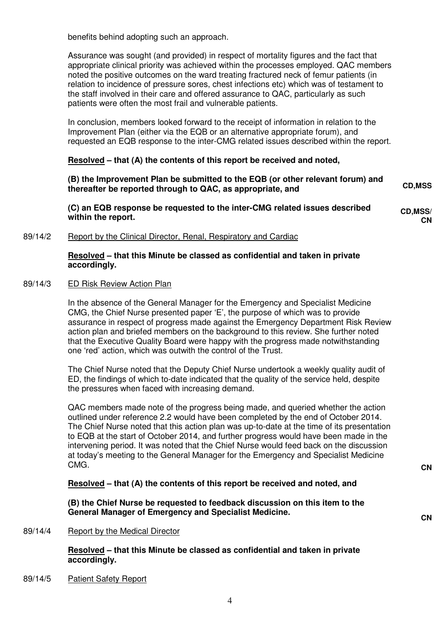benefits behind adopting such an approach.

 Assurance was sought (and provided) in respect of mortality figures and the fact that appropriate clinical priority was achieved within the processes employed. QAC members noted the positive outcomes on the ward treating fractured neck of femur patients (in relation to incidence of pressure sores, chest infections etc) which was of testament to the staff involved in their care and offered assurance to QAC, particularly as such patients were often the most frail and vulnerable patients.

 In conclusion, members looked forward to the receipt of information in relation to the Improvement Plan (either via the EQB or an alternative appropriate forum), and requested an EQB response to the inter-CMG related issues described within the report.

#### **Resolved – that (A) the contents of this report be received and noted,**

**(B) the Improvement Plan be submitted to the EQB (or other relevant forum) and thereafter be reported through to QAC, as appropriate, and CD,MSS**

**(C) an EQB response be requested to the inter-CMG related issues described within the report. CD,MSS/ CN**

89/14/2 Report by the Clinical Director, Renal, Respiratory and Cardiac

#### **Resolved – that this Minute be classed as confidential and taken in private accordingly.**

#### 89/14/3 ED Risk Review Action Plan

In the absence of the General Manager for the Emergency and Specialist Medicine CMG, the Chief Nurse presented paper 'E', the purpose of which was to provide assurance in respect of progress made against the Emergency Department Risk Review action plan and briefed members on the background to this review. She further noted that the Executive Quality Board were happy with the progress made notwithstanding one 'red' action, which was outwith the control of the Trust.

 The Chief Nurse noted that the Deputy Chief Nurse undertook a weekly quality audit of ED, the findings of which to-date indicated that the quality of the service held, despite the pressures when faced with increasing demand.

QAC members made note of the progress being made, and queried whether the action outlined under reference 2.2 would have been completed by the end of October 2014. The Chief Nurse noted that this action plan was up-to-date at the time of its presentation to EQB at the start of October 2014, and further progress would have been made in the intervening period. It was noted that the Chief Nurse would feed back on the discussion at today's meeting to the General Manager for the Emergency and Specialist Medicine CMG. **CMG. CMG. CMG. CMG. CMG. CMG. CMG. CMG. CMG. CMG. CMG. CMG. CMG. CMG. CMG. CMG. CMG. CMG. CMG. CMG. CMG. CMG. CMG. CMG. CMG. CMG. CMG. CMG. CMG. CMG. CMG.**

 **Resolved – that (A) the contents of this report be received and noted, and** 

**(B) the Chief Nurse be requested to feedback discussion on this item to the General Manager of Emergency and Specialist Medicine. CN**

#### 89/14/4 Report by the Medical Director

 **Resolved – that this Minute be classed as confidential and taken in private accordingly.** 

89/14/5 Patient Safety Report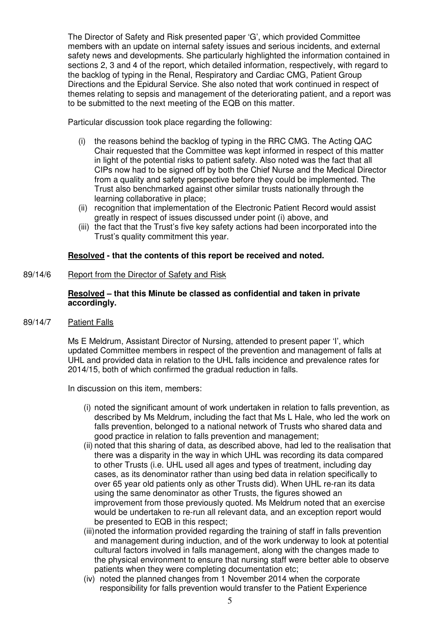The Director of Safety and Risk presented paper 'G', which provided Committee members with an update on internal safety issues and serious incidents, and external safety news and developments. She particularly highlighted the information contained in sections 2, 3 and 4 of the report, which detailed information, respectively, with regard to the backlog of typing in the Renal, Respiratory and Cardiac CMG, Patient Group Directions and the Epidural Service. She also noted that work continued in respect of themes relating to sepsis and management of the deteriorating patient, and a report was to be submitted to the next meeting of the EQB on this matter.

Particular discussion took place regarding the following:

- (i) the reasons behind the backlog of typing in the RRC CMG. The Acting QAC Chair requested that the Committee was kept informed in respect of this matter in light of the potential risks to patient safety. Also noted was the fact that all CIPs now had to be signed off by both the Chief Nurse and the Medical Director from a quality and safety perspective before they could be implemented. The Trust also benchmarked against other similar trusts nationally through the learning collaborative in place;
- (ii) recognition that implementation of the Electronic Patient Record would assist greatly in respect of issues discussed under point (i) above, and
- (iii) the fact that the Trust's five key safety actions had been incorporated into the Trust's quality commitment this year.

## **Resolved - that the contents of this report be received and noted.**

#### 89/14/6 Report from the Director of Safety and Risk

## **Resolved – that this Minute be classed as confidential and taken in private accordingly.**

## 89/14/7 Patient Falls

 Ms E Meldrum, Assistant Director of Nursing, attended to present paper 'I', which updated Committee members in respect of the prevention and management of falls at UHL and provided data in relation to the UHL falls incidence and prevalence rates for 2014/15, both of which confirmed the gradual reduction in falls.

In discussion on this item, members:

- (i) noted the significant amount of work undertaken in relation to falls prevention, as described by Ms Meldrum, including the fact that Ms L Hale, who led the work on falls prevention, belonged to a national network of Trusts who shared data and good practice in relation to falls prevention and management;
- (ii) noted that this sharing of data, as described above, had led to the realisation that there was a disparity in the way in which UHL was recording its data compared to other Trusts (i.e. UHL used all ages and types of treatment, including day cases, as its denominator rather than using bed data in relation specifically to over 65 year old patients only as other Trusts did). When UHL re-ran its data using the same denominator as other Trusts, the figures showed an improvement from those previously quoted. Ms Meldrum noted that an exercise would be undertaken to re-run all relevant data, and an exception report would be presented to EQB in this respect;
- (iii) noted the information provided regarding the training of staff in falls prevention and management during induction, and of the work underway to look at potential cultural factors involved in falls management, along with the changes made to the physical environment to ensure that nursing staff were better able to observe patients when they were completing documentation etc;
- (iv) noted the planned changes from 1 November 2014 when the corporate responsibility for falls prevention would transfer to the Patient Experience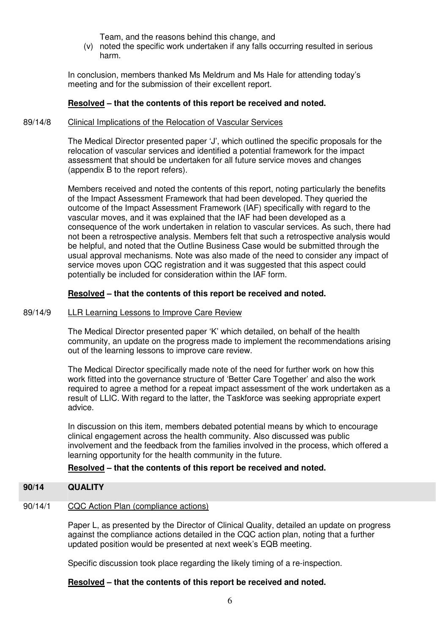Team, and the reasons behind this change, and

(v) noted the specific work undertaken if any falls occurring resulted in serious harm.

 In conclusion, members thanked Ms Meldrum and Ms Hale for attending today's meeting and for the submission of their excellent report.

## **Resolved – that the contents of this report be received and noted.**

#### 89/14/8 Clinical Implications of the Relocation of Vascular Services

 The Medical Director presented paper 'J', which outlined the specific proposals for the relocation of vascular services and identified a potential framework for the impact assessment that should be undertaken for all future service moves and changes (appendix B to the report refers).

 Members received and noted the contents of this report, noting particularly the benefits of the Impact Assessment Framework that had been developed. They queried the outcome of the Impact Assessment Framework (IAF) specifically with regard to the vascular moves, and it was explained that the IAF had been developed as a consequence of the work undertaken in relation to vascular services. As such, there had not been a retrospective analysis. Members felt that such a retrospective analysis would be helpful, and noted that the Outline Business Case would be submitted through the usual approval mechanisms. Note was also made of the need to consider any impact of service moves upon CQC registration and it was suggested that this aspect could potentially be included for consideration within the IAF form.

## **Resolved – that the contents of this report be received and noted.**

#### 89/14/9 LLR Learning Lessons to Improve Care Review

 The Medical Director presented paper 'K' which detailed, on behalf of the health community, an update on the progress made to implement the recommendations arising out of the learning lessons to improve care review.

 The Medical Director specifically made note of the need for further work on how this work fitted into the governance structure of 'Better Care Together' and also the work required to agree a method for a repeat impact assessment of the work undertaken as a result of LLIC. With regard to the latter, the Taskforce was seeking appropriate expert advice.

 In discussion on this item, members debated potential means by which to encourage clinical engagement across the health community. Also discussed was public involvement and the feedback from the families involved in the process, which offered a learning opportunity for the health community in the future.

## **Resolved – that the contents of this report be received and noted.**

#### **90/14 QUALITY**

#### 90/14/1 CQC Action Plan (compliance actions)

Paper L, as presented by the Director of Clinical Quality, detailed an update on progress against the compliance actions detailed in the CQC action plan, noting that a further updated position would be presented at next week's EQB meeting.

Specific discussion took place regarding the likely timing of a re-inspection.

#### **Resolved – that the contents of this report be received and noted.**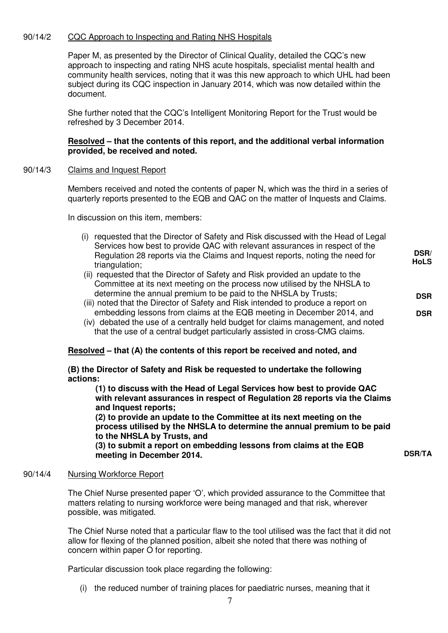## 90/14/2 CQC Approach to Inspecting and Rating NHS Hospitals

 Paper M, as presented by the Director of Clinical Quality, detailed the CQC's new approach to inspecting and rating NHS acute hospitals, specialist mental health and community health services, noting that it was this new approach to which UHL had been subject during its CQC inspection in January 2014, which was now detailed within the document.

She further noted that the CQC's Intelligent Monitoring Report for the Trust would be refreshed by 3 December 2014.

#### **Resolved – that the contents of this report, and the additional verbal information provided, be received and noted.**

#### 90/14/3 Claims and Inquest Report

Members received and noted the contents of paper N, which was the third in a series of quarterly reports presented to the EQB and QAC on the matter of Inquests and Claims.

In discussion on this item, members:

- (i) requested that the Director of Safety and Risk discussed with the Head of Legal Services how best to provide QAC with relevant assurances in respect of the Regulation 28 reports via the Claims and Inquest reports, noting the need for triangulation;
- (ii) requested that the Director of Safety and Risk provided an update to the Committee at its next meeting on the process now utilised by the NHSLA to determine the annual premium to be paid to the NHSLA by Trusts;
- (iii) noted that the Director of Safety and Risk intended to produce a report on embedding lessons from claims at the EQB meeting in December 2014, and
- (iv) debated the use of a centrally held budget for claims management, and noted that the use of a central budget particularly assisted in cross-CMG claims.

#### **Resolved – that (A) the contents of this report be received and noted, and**

#### **(B) the Director of Safety and Risk be requested to undertake the following actions:**

 **(1) to discuss with the Head of Legal Services how best to provide QAC with relevant assurances in respect of Regulation 28 reports via the Claims and Inquest reports;** 

 **(2) to provide an update to the Committee at its next meeting on the process utilised by the NHSLA to determine the annual premium to be paid to the NHSLA by Trusts, and** 

 **(3) to submit a report on embedding lessons from claims at the EQB meeting in December 2014.** 

**DSR/TA**

**DSR/ HoLS**

**DSR**

**DSR**

#### 90/14/4 Nursing Workforce Report

 The Chief Nurse presented paper 'O', which provided assurance to the Committee that matters relating to nursing workforce were being managed and that risk, wherever possible, was mitigated.

The Chief Nurse noted that a particular flaw to the tool utilised was the fact that it did not allow for flexing of the planned position, albeit she noted that there was nothing of concern within paper O for reporting.

Particular discussion took place regarding the following:

(i) the reduced number of training places for paediatric nurses, meaning that it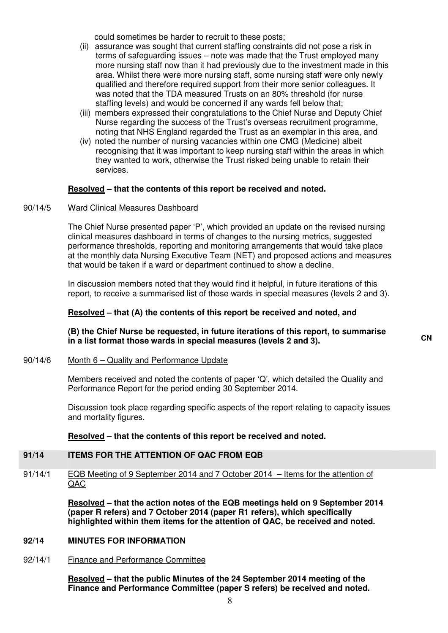could sometimes be harder to recruit to these posts;

- (ii) assurance was sought that current staffing constraints did not pose a risk in terms of safeguarding issues – note was made that the Trust employed many more nursing staff now than it had previously due to the investment made in this area. Whilst there were more nursing staff, some nursing staff were only newly qualified and therefore required support from their more senior colleagues. It was noted that the TDA measured Trusts on an 80% threshold (for nurse staffing levels) and would be concerned if any wards fell below that;
- (iii) members expressed their congratulations to the Chief Nurse and Deputy Chief Nurse regarding the success of the Trust's overseas recruitment programme, noting that NHS England regarded the Trust as an exemplar in this area, and
- (iv) noted the number of nursing vacancies within one CMG (Medicine) albeit recognising that it was important to keep nursing staff within the areas in which they wanted to work, otherwise the Trust risked being unable to retain their services.

#### **Resolved – that the contents of this report be received and noted.**

#### 90/14/5 Ward Clinical Measures Dashboard

The Chief Nurse presented paper 'P', which provided an update on the revised nursing clinical measures dashboard in terms of changes to the nursing metrics, suggested performance thresholds, reporting and monitoring arrangements that would take place at the monthly data Nursing Executive Team (NET) and proposed actions and measures that would be taken if a ward or department continued to show a decline.

In discussion members noted that they would find it helpful, in future iterations of this report, to receive a summarised list of those wards in special measures (levels 2 and 3).

#### **Resolved – that (A) the contents of this report be received and noted, and**

## **(B) the Chief Nurse be requested, in future iterations of this report, to summarise in a list format those wards in special measures (levels 2 and 3). CN**

#### 90/14/6 Month 6 – Quality and Performance Update

Members received and noted the contents of paper 'Q', which detailed the Quality and Performance Report for the period ending 30 September 2014.

Discussion took place regarding specific aspects of the report relating to capacity issues and mortality figures.

#### **Resolved – that the contents of this report be received and noted.**

#### **91/14 ITEMS FOR THE ATTENTION OF QAC FROM EQB**

91/14/1 EQB Meeting of 9 September 2014 and 7 October 2014 – Items for the attention of QAC

> **Resolved – that the action notes of the EQB meetings held on 9 September 2014 (paper R refers) and 7 October 2014 (paper R1 refers), which specifically highlighted within them items for the attention of QAC, be received and noted.**

#### **92/14 MINUTES FOR INFORMATION**

## 92/14/1 Finance and Performance Committee

**Resolved – that the public Minutes of the 24 September 2014 meeting of the Finance and Performance Committee (paper S refers) be received and noted.**